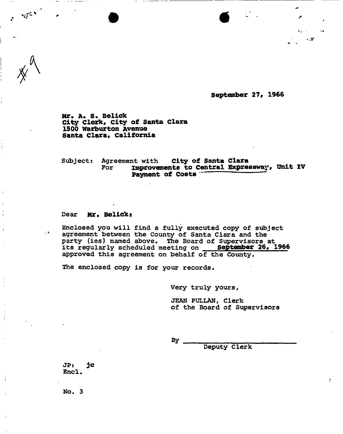**September 27, 1966** 

 $.7^{2}$ 

**Mr. A\* S. Belick City Clerk, city of Santa Clara 1500 warburton Avenue**  Santa Clara, California

Subject: Agreement with **City of Santa Clara**  For **improvements to Central Expressway, Unit ZV Payment of Costs** 

#### Dear Mr. Belick:

 $\mathcal{A}$ 

Enclosed you will find a fully executed copy of subject agreement between the County of Santa Clara and the party (ies) named above. The Board of Supervisors at its regularly scheduled meeting on **September 26, 1966**  approved this agreement on behalf of the County.

The enclosed copy is for your records.

Very truly yours,

JEAN PULLAN, Clerk of the Board of Supervisors

By.

Deputy Clerk

**JP: jc**  Encl.

No. 3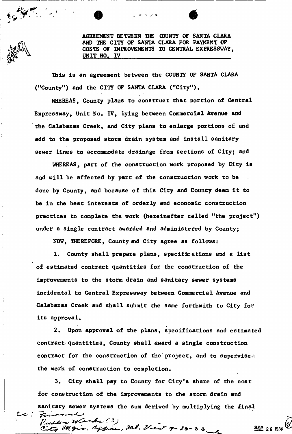AGREEMENT BETWEEN THE COUNTY OF SANTA CLARA AND THE CITY OF SANTA CLARA FOR PAYMENT OF COSTS OF IMPROVEMENTS TO CENTRAL EXPRESSWAY UNIT NO, IV

This is an agreement between the COUNTY OF SANTA CLARA ("County<sup>11</sup>) and the CITY OF SANTA CLARA ("City"),

WHEREAS, County plans to construct that portion of Central Expressway, Unit No. IV, lying between Commercial Avenue and the Calabazas Creek, and City plans to enlarge portions of and add to the proposed storm drain system and install sanitary sewer lines to accommodate drainage from sections of City; and

WHEREAS, part of the construction work proposed by City is and will be affected by part of the construction work to be done by County, and because of this City and County deem it to be in the best interests of orderly and economic construction practices to complete the work (hereinafter called "the project") under a single contract awarded and administered by County;

NOW, THEREFORE, County aid City agree as follows:

1. County shall prepare plans, specifications and a list of estimated contract quantities for the construction of the improvements to the storm drain and sanitary sewer systems incidental to Central Expressway between Commercial Avenue and Calabazas Creek and shall submit the same forthwith to City for its approval.

2. Upon approval of the plans, specifications and estimated contract quantities, County shall award a single construction contract for the construction of the project, and to supervise. the work of construction to completion.

3. City shall pay to County for City's share of the cost for construction of the improvements to the storm drain and sanitary sewer systems the sum derived by multiplying the final

Public Works (3)<br>City Mgris, Oggine, Ml. Vient 9-30-66

SEP 26 1988

 $c$  .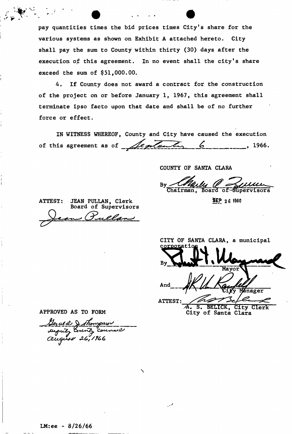pay quantities times the bid prices times City's share for the various systems as shown on Exhibit A attached hereto. City shall pay the sum to County within thirty (30) days after the execution of this agreement. In no event shall the city's share exceed the sum of  $$51,000.00$ .

4. If County does not award a contract for the construction of the project on or before January 1, 1967, this agreement shall terminate ipso facto upon that date and shall be of no further force or effect.

IN WITNESS WHEREOF, County and City have caused the execution of this agreement as of  $\sqrt{$ ententin 6 (1966.

COUNTY OF SANTA CLARA

By  $\overline{\mathtt{ChaIrman}}$  ,

ATTEST: JEAN PULLAN, Clerk SEP 26 1966 Board of Supervisors

CITY OF SANTA CLARA, a municipal orpor

Mayor And Manager ATTEST: **S. BELICK, City Clerk** City of Santa Clara

APPROVED AS TO FORM

Leral d D suput, County Counsel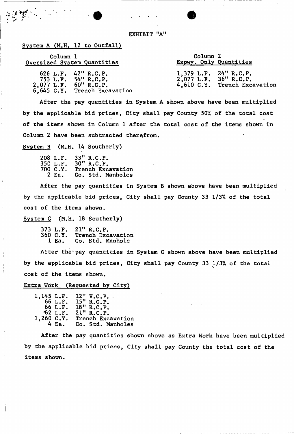EXHIBIT "A"

### System A (M.H. 12 to Outfall)

 $\mathcal{L}^{\text{eff}}$ 

| Column 1                    |                                                                                  | Column 2                                       |                              |
|-----------------------------|----------------------------------------------------------------------------------|------------------------------------------------|------------------------------|
| Oversized System Quantities |                                                                                  | Expwy. Only Quantities                         |                              |
| $2,077$ L.F. $60''$ R.C.P.  | 626 L.F. $42''$ R.C.P.<br>753 L.F. $54''$ R.C.P.<br>6,645 C.Y. Trench Excavation | 1,379 L.F. 24" R.C.P.<br>2,077 L.F. 36" R.C.P. | 4,610 C.Y. Trench Excavation |

After the pay quantities in System A shown above have been multiplied by the applicable bid prices, City shall pay County 50% of the total cost of the items shown in Column 1 after the total cost of the items shown in Column 2 have been subtracted therefrom.

System B (M.H. 14 Southerly)

|          | 208 L.F. 33" R.C.P. |
|----------|---------------------|
| 350 L.F. | 30" R.C.P.          |
| 700 C.Y. | Trench Excavation   |
| 2 Ea.    | Co. Std. Manholes   |

After the pay quantities in System B shown above have been multiplied by the applicable bid prices, City shall pay County 33 1/3% of the total cost of the items shown.

System C (M.H. 18 Southerly)

|          | 373 L.F. 21" R.C.P. |  |
|----------|---------------------|--|
| 360 C.Y. | Trench Excavation   |  |
| l Ea.    | Co. Std. Manhole    |  |

After the pay quantities in System C shown above have been multiplied by the applicable bid prices, City shall pay County 33 1/3% of the total cost of the items shown.

## Extra Work (Requested by City)

| 1,145 L.F. |         | $12''$ V.C.P.     |
|------------|---------|-------------------|
|            | 66 L.F. | 15" R.C.P.        |
|            | 66 L.F. | 18" R.C.P.        |
|            | 62 L.F. | 21" R.C.P.        |
| 1,260 C.Y. |         | Trench Excavation |
|            | 4 Ea.   | Co. Std. Manholes |

After the pay quantities shown above as Extra Work have been multiplied by the applicable bid prices, City shall pay County the total cost of the items shown.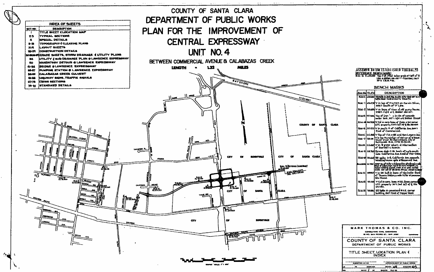